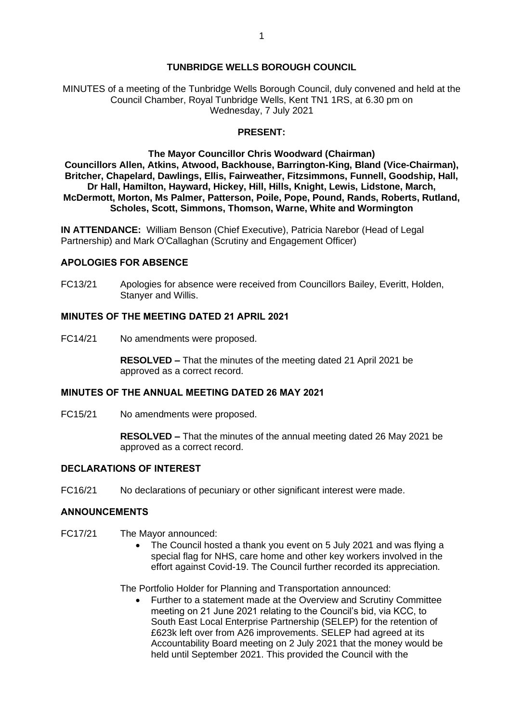## **TUNBRIDGE WELLS BOROUGH COUNCIL**

MINUTES of a meeting of the Tunbridge Wells Borough Council, duly convened and held at the Council Chamber, Royal Tunbridge Wells, Kent TN1 1RS, at 6.30 pm on Wednesday, 7 July 2021

#### **PRESENT:**

**The Mayor Councillor Chris Woodward (Chairman) Councillors Allen, Atkins, Atwood, Backhouse, Barrington-King, Bland (Vice-Chairman), Britcher, Chapelard, Dawlings, Ellis, Fairweather, Fitzsimmons, Funnell, Goodship, Hall, Dr Hall, Hamilton, Hayward, Hickey, Hill, Hills, Knight, Lewis, Lidstone, March, McDermott, Morton, Ms Palmer, Patterson, Poile, Pope, Pound, Rands, Roberts, Rutland, Scholes, Scott, Simmons, Thomson, Warne, White and Wormington**

**IN ATTENDANCE:** William Benson (Chief Executive), Patricia Narebor (Head of Legal Partnership) and Mark O'Callaghan (Scrutiny and Engagement Officer)

#### **APOLOGIES FOR ABSENCE**

FC13/21 Apologies for absence were received from Councillors Bailey, Everitt, Holden, Stanyer and Willis.

# **MINUTES OF THE MEETING DATED 21 APRIL 2021**

FC14/21 No amendments were proposed.

**RESOLVED –** That the minutes of the meeting dated 21 April 2021 be approved as a correct record.

## **MINUTES OF THE ANNUAL MEETING DATED 26 MAY 2021**

FC15/21 No amendments were proposed.

**RESOLVED –** That the minutes of the annual meeting dated 26 May 2021 be approved as a correct record.

## **DECLARATIONS OF INTEREST**

FC16/21 No declarations of pecuniary or other significant interest were made.

# **ANNOUNCEMENTS**

- FC17/21 The Mayor announced:
	- The Council hosted a thank you event on 5 July 2021 and was flying a special flag for NHS, care home and other key workers involved in the effort against Covid-19. The Council further recorded its appreciation.

The Portfolio Holder for Planning and Transportation announced:

• Further to a statement made at the Overview and Scrutiny Committee meeting on 21 June 2021 relating to the Council's bid, via KCC, to South East Local Enterprise Partnership (SELEP) for the retention of £623k left over from A26 improvements. SELEP had agreed at its Accountability Board meeting on 2 July 2021 that the money would be held until September 2021. This provided the Council with the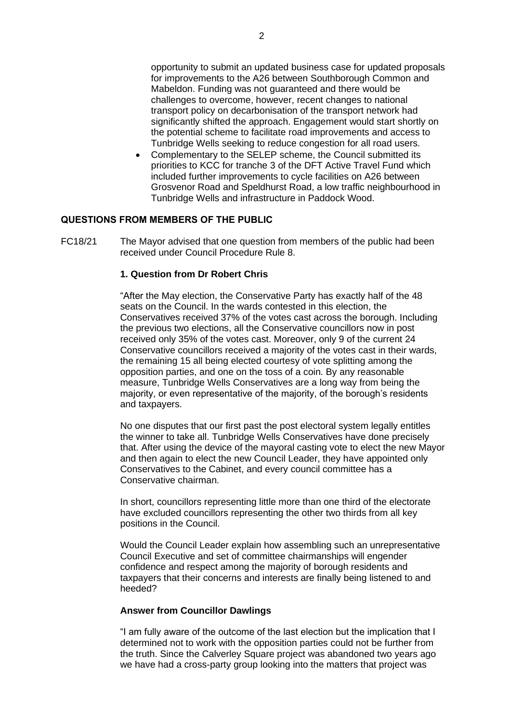opportunity to submit an updated business case for updated proposals for improvements to the A26 between Southborough Common and Mabeldon. Funding was not guaranteed and there would be challenges to overcome, however, recent changes to national transport policy on decarbonisation of the transport network had significantly shifted the approach. Engagement would start shortly on the potential scheme to facilitate road improvements and access to Tunbridge Wells seeking to reduce congestion for all road users.

• Complementary to the SELEP scheme, the Council submitted its priorities to KCC for tranche 3 of the DFT Active Travel Fund which included further improvements to cycle facilities on A26 between Grosvenor Road and Speldhurst Road, a low traffic neighbourhood in Tunbridge Wells and infrastructure in Paddock Wood.

## **QUESTIONS FROM MEMBERS OF THE PUBLIC**

FC18/21 The Mayor advised that one question from members of the public had been received under Council Procedure Rule 8.

## **1. Question from Dr Robert Chris**

"After the May election, the Conservative Party has exactly half of the 48 seats on the Council. In the wards contested in this election, the Conservatives received 37% of the votes cast across the borough. Including the previous two elections, all the Conservative councillors now in post received only 35% of the votes cast. Moreover, only 9 of the current 24 Conservative councillors received a majority of the votes cast in their wards, the remaining 15 all being elected courtesy of vote splitting among the opposition parties, and one on the toss of a coin. By any reasonable measure, Tunbridge Wells Conservatives are a long way from being the majority, or even representative of the majority, of the borough's residents and taxpayers.

No one disputes that our first past the post electoral system legally entitles the winner to take all. Tunbridge Wells Conservatives have done precisely that. After using the device of the mayoral casting vote to elect the new Mayor and then again to elect the new Council Leader, they have appointed only Conservatives to the Cabinet, and every council committee has a Conservative chairman.

In short, councillors representing little more than one third of the electorate have excluded councillors representing the other two thirds from all key positions in the Council.

Would the Council Leader explain how assembling such an unrepresentative Council Executive and set of committee chairmanships will engender confidence and respect among the majority of borough residents and taxpayers that their concerns and interests are finally being listened to and heeded?

#### **Answer from Councillor Dawlings**

"I am fully aware of the outcome of the last election but the implication that I determined not to work with the opposition parties could not be further from the truth. Since the Calverley Square project was abandoned two years ago we have had a cross-party group looking into the matters that project was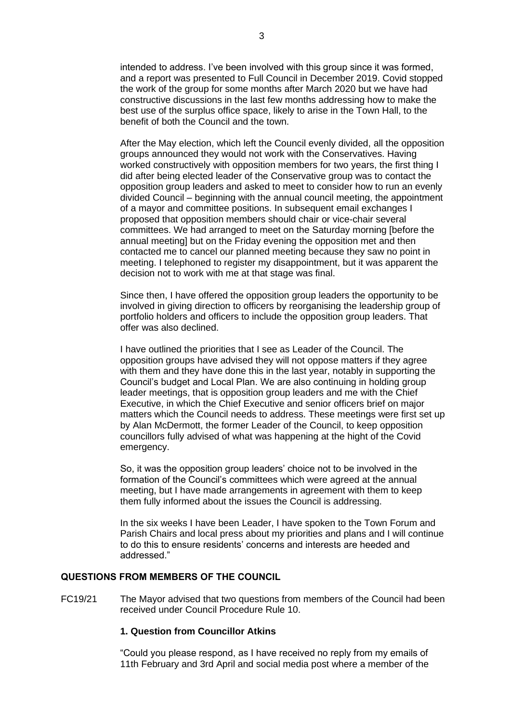intended to address. I've been involved with this group since it was formed, and a report was presented to Full Council in December 2019. Covid stopped the work of the group for some months after March 2020 but we have had constructive discussions in the last few months addressing how to make the best use of the surplus office space, likely to arise in the Town Hall, to the benefit of both the Council and the town.

After the May election, which left the Council evenly divided, all the opposition groups announced they would not work with the Conservatives. Having worked constructively with opposition members for two years, the first thing I did after being elected leader of the Conservative group was to contact the opposition group leaders and asked to meet to consider how to run an evenly divided Council – beginning with the annual council meeting, the appointment of a mayor and committee positions. In subsequent email exchanges I proposed that opposition members should chair or vice-chair several committees. We had arranged to meet on the Saturday morning [before the annual meeting] but on the Friday evening the opposition met and then contacted me to cancel our planned meeting because they saw no point in meeting. I telephoned to register my disappointment, but it was apparent the decision not to work with me at that stage was final.

Since then, I have offered the opposition group leaders the opportunity to be involved in giving direction to officers by reorganising the leadership group of portfolio holders and officers to include the opposition group leaders. That offer was also declined.

I have outlined the priorities that I see as Leader of the Council. The opposition groups have advised they will not oppose matters if they agree with them and they have done this in the last year, notably in supporting the Council's budget and Local Plan. We are also continuing in holding group leader meetings, that is opposition group leaders and me with the Chief Executive, in which the Chief Executive and senior officers brief on major matters which the Council needs to address. These meetings were first set up by Alan McDermott, the former Leader of the Council, to keep opposition councillors fully advised of what was happening at the hight of the Covid emergency.

So, it was the opposition group leaders' choice not to be involved in the formation of the Council's committees which were agreed at the annual meeting, but I have made arrangements in agreement with them to keep them fully informed about the issues the Council is addressing.

In the six weeks I have been Leader, I have spoken to the Town Forum and Parish Chairs and local press about my priorities and plans and I will continue to do this to ensure residents' concerns and interests are heeded and addressed."

## **QUESTIONS FROM MEMBERS OF THE COUNCIL**

FC19/21 The Mayor advised that two questions from members of the Council had been received under Council Procedure Rule 10.

#### **1. Question from Councillor Atkins**

"Could you please respond, as I have received no reply from my emails of 11th February and 3rd April and social media post where a member of the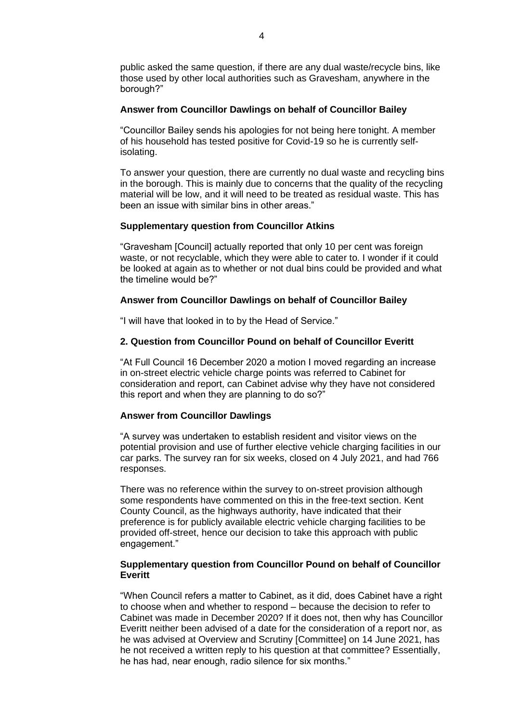public asked the same question, if there are any dual waste/recycle bins, like those used by other local authorities such as Gravesham, anywhere in the borough?"

#### **Answer from Councillor Dawlings on behalf of Councillor Bailey**

"Councillor Bailey sends his apologies for not being here tonight. A member of his household has tested positive for Covid-19 so he is currently selfisolating.

To answer your question, there are currently no dual waste and recycling bins in the borough. This is mainly due to concerns that the quality of the recycling material will be low, and it will need to be treated as residual waste. This has been an issue with similar bins in other areas."

## **Supplementary question from Councillor Atkins**

"Gravesham [Council] actually reported that only 10 per cent was foreign waste, or not recyclable, which they were able to cater to. I wonder if it could be looked at again as to whether or not dual bins could be provided and what the timeline would be?"

# **Answer from Councillor Dawlings on behalf of Councillor Bailey**

"I will have that looked in to by the Head of Service."

# **2. Question from Councillor Pound on behalf of Councillor Everitt**

"At Full Council 16 December 2020 a motion I moved regarding an increase in on-street electric vehicle charge points was referred to Cabinet for consideration and report, can Cabinet advise why they have not considered this report and when they are planning to do so?"

# **Answer from Councillor Dawlings**

"A survey was undertaken to establish resident and visitor views on the potential provision and use of further elective vehicle charging facilities in our car parks. The survey ran for six weeks, closed on 4 July 2021, and had 766 responses.

There was no reference within the survey to on-street provision although some respondents have commented on this in the free-text section. Kent County Council, as the highways authority, have indicated that their preference is for publicly available electric vehicle charging facilities to be provided off-street, hence our decision to take this approach with public engagement."

## **Supplementary question from Councillor Pound on behalf of Councillor Everitt**

"When Council refers a matter to Cabinet, as it did, does Cabinet have a right to choose when and whether to respond – because the decision to refer to Cabinet was made in December 2020? If it does not, then why has Councillor Everitt neither been advised of a date for the consideration of a report nor, as he was advised at Overview and Scrutiny [Committee] on 14 June 2021, has he not received a written reply to his question at that committee? Essentially, he has had, near enough, radio silence for six months."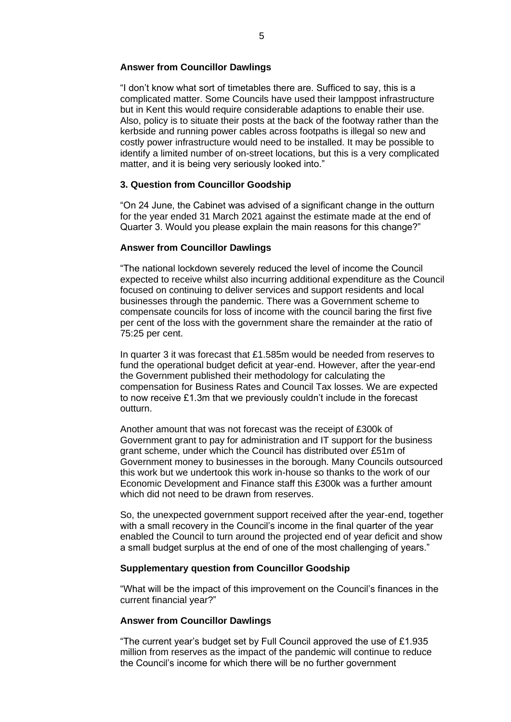#### **Answer from Councillor Dawlings**

"I don't know what sort of timetables there are. Sufficed to say, this is a complicated matter. Some Councils have used their lamppost infrastructure but in Kent this would require considerable adaptions to enable their use. Also, policy is to situate their posts at the back of the footway rather than the kerbside and running power cables across footpaths is illegal so new and costly power infrastructure would need to be installed. It may be possible to identify a limited number of on-street locations, but this is a very complicated matter, and it is being very seriously looked into."

#### **3. Question from Councillor Goodship**

"On 24 June, the Cabinet was advised of a significant change in the outturn for the year ended 31 March 2021 against the estimate made at the end of Quarter 3. Would you please explain the main reasons for this change?"

#### **Answer from Councillor Dawlings**

"The national lockdown severely reduced the level of income the Council expected to receive whilst also incurring additional expenditure as the Council focused on continuing to deliver services and support residents and local businesses through the pandemic. There was a Government scheme to compensate councils for loss of income with the council baring the first five per cent of the loss with the government share the remainder at the ratio of 75:25 per cent.

In quarter 3 it was forecast that £1.585m would be needed from reserves to fund the operational budget deficit at year-end. However, after the year-end the Government published their methodology for calculating the compensation for Business Rates and Council Tax losses. We are expected to now receive £1.3m that we previously couldn't include in the forecast outturn.

Another amount that was not forecast was the receipt of £300k of Government grant to pay for administration and IT support for the business grant scheme, under which the Council has distributed over £51m of Government money to businesses in the borough. Many Councils outsourced this work but we undertook this work in-house so thanks to the work of our Economic Development and Finance staff this £300k was a further amount which did not need to be drawn from reserves.

So, the unexpected government support received after the year-end, together with a small recovery in the Council's income in the final quarter of the year enabled the Council to turn around the projected end of year deficit and show a small budget surplus at the end of one of the most challenging of years."

#### **Supplementary question from Councillor Goodship**

"What will be the impact of this improvement on the Council's finances in the current financial year?"

#### **Answer from Councillor Dawlings**

"The current year's budget set by Full Council approved the use of £1.935 million from reserves as the impact of the pandemic will continue to reduce the Council's income for which there will be no further government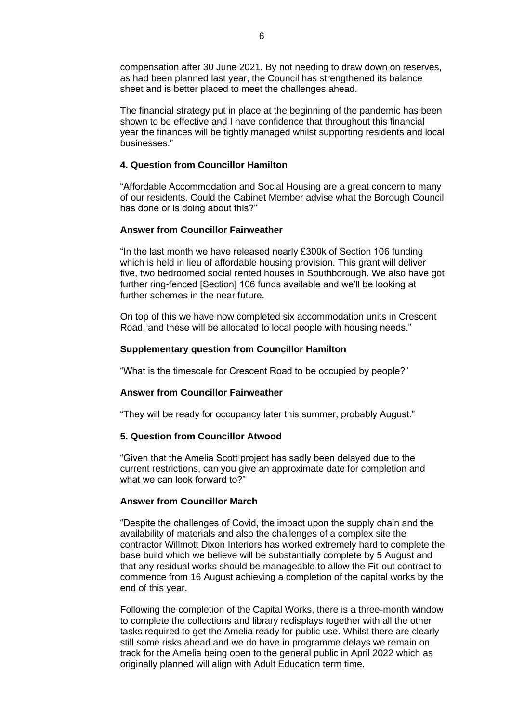compensation after 30 June 2021. By not needing to draw down on reserves, as had been planned last year, the Council has strengthened its balance sheet and is better placed to meet the challenges ahead.

The financial strategy put in place at the beginning of the pandemic has been shown to be effective and I have confidence that throughout this financial year the finances will be tightly managed whilst supporting residents and local businesses."

## **4. Question from Councillor Hamilton**

"Affordable Accommodation and Social Housing are a great concern to many of our residents. Could the Cabinet Member advise what the Borough Council has done or is doing about this?"

## **Answer from Councillor Fairweather**

"In the last month we have released nearly £300k of Section 106 funding which is held in lieu of affordable housing provision. This grant will deliver five, two bedroomed social rented houses in Southborough. We also have got further ring-fenced [Section] 106 funds available and we'll be looking at further schemes in the near future.

On top of this we have now completed six accommodation units in Crescent Road, and these will be allocated to local people with housing needs."

#### **Supplementary question from Councillor Hamilton**

"What is the timescale for Crescent Road to be occupied by people?"

#### **Answer from Councillor Fairweather**

"They will be ready for occupancy later this summer, probably August."

## **5. Question from Councillor Atwood**

"Given that the Amelia Scott project has sadly been delayed due to the current restrictions, can you give an approximate date for completion and what we can look forward to?"

# **Answer from Councillor March**

"Despite the challenges of Covid, the impact upon the supply chain and the availability of materials and also the challenges of a complex site the contractor Willmott Dixon Interiors has worked extremely hard to complete the base build which we believe will be substantially complete by 5 August and that any residual works should be manageable to allow the Fit-out contract to commence from 16 August achieving a completion of the capital works by the end of this year.

Following the completion of the Capital Works, there is a three-month window to complete the collections and library redisplays together with all the other tasks required to get the Amelia ready for public use. Whilst there are clearly still some risks ahead and we do have in programme delays we remain on track for the Amelia being open to the general public in April 2022 which as originally planned will align with Adult Education term time.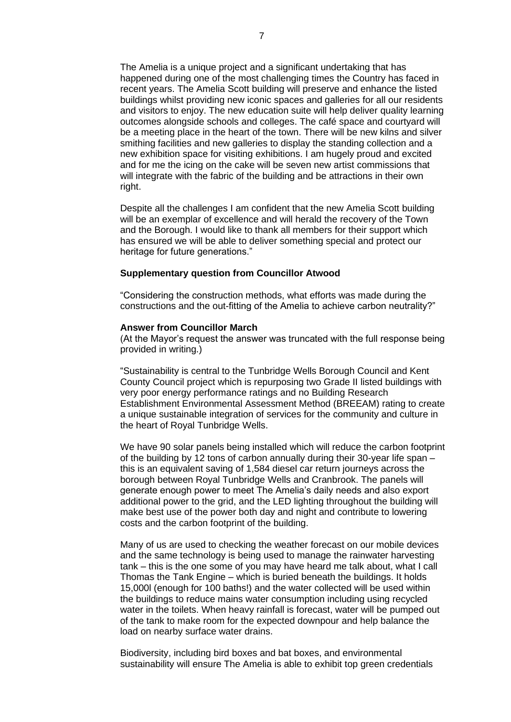The Amelia is a unique project and a significant undertaking that has happened during one of the most challenging times the Country has faced in recent years. The Amelia Scott building will preserve and enhance the listed buildings whilst providing new iconic spaces and galleries for all our residents and visitors to enjoy. The new education suite will help deliver quality learning outcomes alongside schools and colleges. The café space and courtyard will be a meeting place in the heart of the town. There will be new kilns and silver smithing facilities and new galleries to display the standing collection and a new exhibition space for visiting exhibitions. I am hugely proud and excited and for me the icing on the cake will be seven new artist commissions that will integrate with the fabric of the building and be attractions in their own right.

Despite all the challenges I am confident that the new Amelia Scott building will be an exemplar of excellence and will herald the recovery of the Town and the Borough. I would like to thank all members for their support which has ensured we will be able to deliver something special and protect our heritage for future generations."

#### **Supplementary question from Councillor Atwood**

"Considering the construction methods, what efforts was made during the constructions and the out-fitting of the Amelia to achieve carbon neutrality?"

#### **Answer from Councillor March**

(At the Mayor's request the answer was truncated with the full response being provided in writing.)

"Sustainability is central to the Tunbridge Wells Borough Council and Kent County Council project which is repurposing two Grade II listed buildings with very poor energy performance ratings and no Building Research Establishment Environmental Assessment Method (BREEAM) rating to create a unique sustainable integration of services for the community and culture in the heart of Royal Tunbridge Wells.

We have 90 solar panels being installed which will reduce the carbon footprint of the building by 12 tons of carbon annually during their 30-year life span – this is an equivalent saving of 1,584 diesel car return journeys across the borough between Royal Tunbridge Wells and Cranbrook. The panels will generate enough power to meet The Amelia's daily needs and also export additional power to the grid, and the LED lighting throughout the building will make best use of the power both day and night and contribute to lowering costs and the carbon footprint of the building.

Many of us are used to checking the weather forecast on our mobile devices and the same technology is being used to manage the rainwater harvesting tank – this is the one some of you may have heard me talk about, what I call Thomas the Tank Engine – which is buried beneath the buildings. It holds 15,000l (enough for 100 baths!) and the water collected will be used within the buildings to reduce mains water consumption including using recycled water in the toilets. When heavy rainfall is forecast, water will be pumped out of the tank to make room for the expected downpour and help balance the load on nearby surface water drains.

Biodiversity, including bird boxes and bat boxes, and environmental sustainability will ensure The Amelia is able to exhibit top green credentials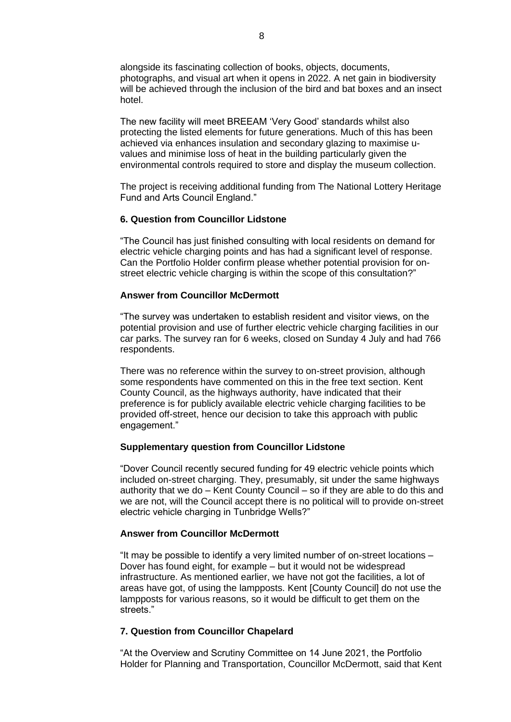alongside its fascinating collection of books, objects, documents, photographs, and visual art when it opens in 2022. A net gain in biodiversity will be achieved through the inclusion of the bird and bat boxes and an insect hotel.

The new facility will meet BREEAM 'Very Good' standards whilst also protecting the listed elements for future generations. Much of this has been achieved via enhances insulation and secondary glazing to maximise uvalues and minimise loss of heat in the building particularly given the environmental controls required to store and display the museum collection.

The project is receiving additional funding from The National Lottery Heritage Fund and Arts Council England."

## **6. Question from Councillor Lidstone**

"The Council has just finished consulting with local residents on demand for electric vehicle charging points and has had a significant level of response. Can the Portfolio Holder confirm please whether potential provision for onstreet electric vehicle charging is within the scope of this consultation?"

## **Answer from Councillor McDermott**

"The survey was undertaken to establish resident and visitor views, on the potential provision and use of further electric vehicle charging facilities in our car parks. The survey ran for 6 weeks, closed on Sunday 4 July and had 766 respondents.

There was no reference within the survey to on-street provision, although some respondents have commented on this in the free text section. Kent County Council, as the highways authority, have indicated that their preference is for publicly available electric vehicle charging facilities to be provided off-street, hence our decision to take this approach with public engagement."

#### **Supplementary question from Councillor Lidstone**

"Dover Council recently secured funding for 49 electric vehicle points which included on-street charging. They, presumably, sit under the same highways authority that we do – Kent County Council – so if they are able to do this and we are not, will the Council accept there is no political will to provide on-street electric vehicle charging in Tunbridge Wells?"

#### **Answer from Councillor McDermott**

"It may be possible to identify a very limited number of on-street locations – Dover has found eight, for example – but it would not be widespread infrastructure. As mentioned earlier, we have not got the facilities, a lot of areas have got, of using the lampposts. Kent [County Council] do not use the lampposts for various reasons, so it would be difficult to get them on the streets."

# **7. Question from Councillor Chapelard**

"At the Overview and Scrutiny Committee on 14 June 2021, the Portfolio Holder for Planning and Transportation, Councillor McDermott, said that Kent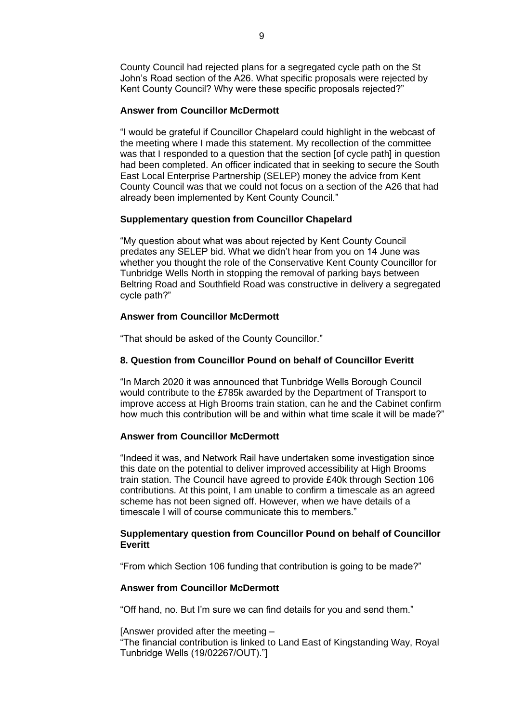County Council had rejected plans for a segregated cycle path on the St John's Road section of the A26. What specific proposals were rejected by Kent County Council? Why were these specific proposals rejected?"

## **Answer from Councillor McDermott**

"I would be grateful if Councillor Chapelard could highlight in the webcast of the meeting where I made this statement. My recollection of the committee was that I responded to a question that the section [of cycle path] in question had been completed. An officer indicated that in seeking to secure the South East Local Enterprise Partnership (SELEP) money the advice from Kent County Council was that we could not focus on a section of the A26 that had already been implemented by Kent County Council."

## **Supplementary question from Councillor Chapelard**

"My question about what was about rejected by Kent County Council predates any SELEP bid. What we didn't hear from you on 14 June was whether you thought the role of the Conservative Kent County Councillor for Tunbridge Wells North in stopping the removal of parking bays between Beltring Road and Southfield Road was constructive in delivery a segregated cycle path?"

# **Answer from Councillor McDermott**

"That should be asked of the County Councillor."

# **8. Question from Councillor Pound on behalf of Councillor Everitt**

"In March 2020 it was announced that Tunbridge Wells Borough Council would contribute to the £785k awarded by the Department of Transport to improve access at High Brooms train station, can he and the Cabinet confirm how much this contribution will be and within what time scale it will be made?"

# **Answer from Councillor McDermott**

"Indeed it was, and Network Rail have undertaken some investigation since this date on the potential to deliver improved accessibility at High Brooms train station. The Council have agreed to provide £40k through Section 106 contributions. At this point, I am unable to confirm a timescale as an agreed scheme has not been signed off. However, when we have details of a timescale I will of course communicate this to members."

## **Supplementary question from Councillor Pound on behalf of Councillor Everitt**

"From which Section 106 funding that contribution is going to be made?"

# **Answer from Councillor McDermott**

"Off hand, no. But I'm sure we can find details for you and send them."

[Answer provided after the meeting  $-$ "The financial contribution is linked to Land East of Kingstanding Way, Royal Tunbridge Wells (19/02267/OUT)."]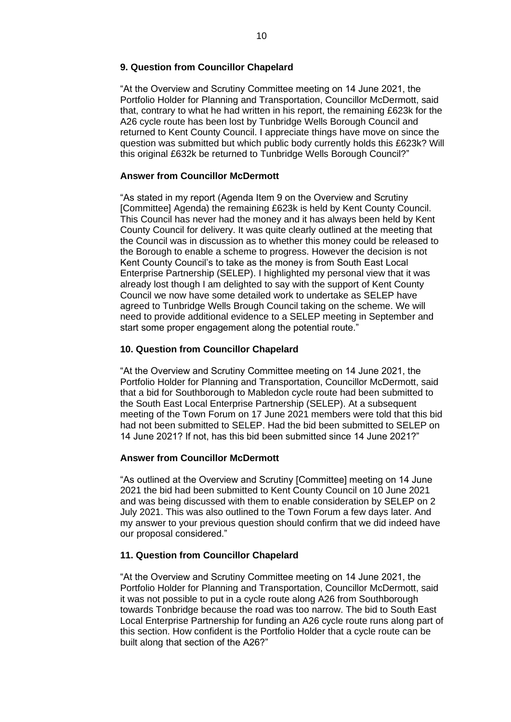# **9. Question from Councillor Chapelard**

"At the Overview and Scrutiny Committee meeting on 14 June 2021, the Portfolio Holder for Planning and Transportation, Councillor McDermott, said that, contrary to what he had written in his report, the remaining £623k for the A26 cycle route has been lost by Tunbridge Wells Borough Council and returned to Kent County Council. I appreciate things have move on since the question was submitted but which public body currently holds this £623k? Will this original £632k be returned to Tunbridge Wells Borough Council?"

# **Answer from Councillor McDermott**

"As stated in my report (Agenda Item 9 on the Overview and Scrutiny [Committee] Agenda) the remaining £623k is held by Kent County Council. This Council has never had the money and it has always been held by Kent County Council for delivery. It was quite clearly outlined at the meeting that the Council was in discussion as to whether this money could be released to the Borough to enable a scheme to progress. However the decision is not Kent County Council's to take as the money is from South East Local Enterprise Partnership (SELEP). I highlighted my personal view that it was already lost though I am delighted to say with the support of Kent County Council we now have some detailed work to undertake as SELEP have agreed to Tunbridge Wells Brough Council taking on the scheme. We will need to provide additional evidence to a SELEP meeting in September and start some proper engagement along the potential route."

## **10. Question from Councillor Chapelard**

"At the Overview and Scrutiny Committee meeting on 14 June 2021, the Portfolio Holder for Planning and Transportation, Councillor McDermott, said that a bid for Southborough to Mabledon cycle route had been submitted to the South East Local Enterprise Partnership (SELEP). At a subsequent meeting of the Town Forum on 17 June 2021 members were told that this bid had not been submitted to SELEP. Had the bid been submitted to SELEP on 14 June 2021? If not, has this bid been submitted since 14 June 2021?"

#### **Answer from Councillor McDermott**

"As outlined at the Overview and Scrutiny [Committee] meeting on 14 June 2021 the bid had been submitted to Kent County Council on 10 June 2021 and was being discussed with them to enable consideration by SELEP on 2 July 2021. This was also outlined to the Town Forum a few days later. And my answer to your previous question should confirm that we did indeed have our proposal considered."

# **11. Question from Councillor Chapelard**

"At the Overview and Scrutiny Committee meeting on 14 June 2021, the Portfolio Holder for Planning and Transportation, Councillor McDermott, said it was not possible to put in a cycle route along A26 from Southborough towards Tonbridge because the road was too narrow. The bid to South East Local Enterprise Partnership for funding an A26 cycle route runs along part of this section. How confident is the Portfolio Holder that a cycle route can be built along that section of the A26?"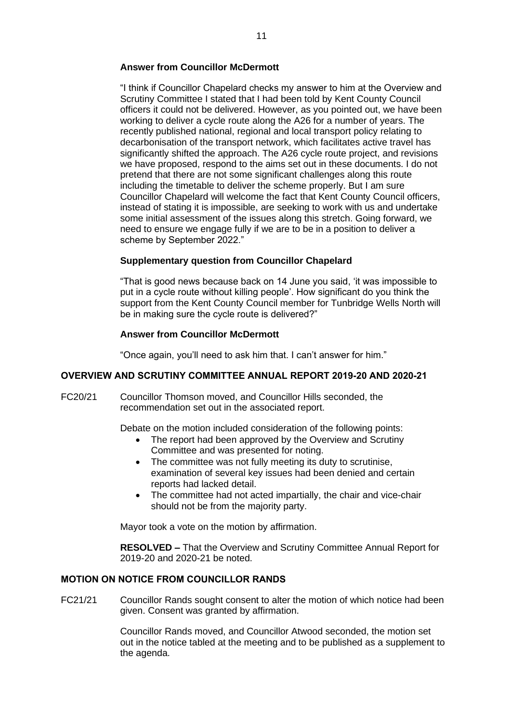#### **Answer from Councillor McDermott**

"I think if Councillor Chapelard checks my answer to him at the Overview and Scrutiny Committee I stated that I had been told by Kent County Council officers it could not be delivered. However, as you pointed out, we have been working to deliver a cycle route along the A26 for a number of years. The recently published national, regional and local transport policy relating to decarbonisation of the transport network, which facilitates active travel has significantly shifted the approach. The A26 cycle route project, and revisions we have proposed, respond to the aims set out in these documents. I do not pretend that there are not some significant challenges along this route including the timetable to deliver the scheme properly. But I am sure Councillor Chapelard will welcome the fact that Kent County Council officers, instead of stating it is impossible, are seeking to work with us and undertake some initial assessment of the issues along this stretch. Going forward, we need to ensure we engage fully if we are to be in a position to deliver a scheme by September 2022."

## **Supplementary question from Councillor Chapelard**

"That is good news because back on 14 June you said, 'it was impossible to put in a cycle route without killing people'. How significant do you think the support from the Kent County Council member for Tunbridge Wells North will be in making sure the cycle route is delivered?"

## **Answer from Councillor McDermott**

"Once again, you'll need to ask him that. I can't answer for him."

# **OVERVIEW AND SCRUTINY COMMITTEE ANNUAL REPORT 2019-20 AND 2020-21**

FC20/21 Councillor Thomson moved, and Councillor Hills seconded, the recommendation set out in the associated report.

Debate on the motion included consideration of the following points:

- The report had been approved by the Overview and Scrutiny Committee and was presented for noting.
- The committee was not fully meeting its duty to scrutinise, examination of several key issues had been denied and certain reports had lacked detail.
- The committee had not acted impartially, the chair and vice-chair should not be from the majority party.

Mayor took a vote on the motion by affirmation.

**RESOLVED –** That the Overview and Scrutiny Committee Annual Report for 2019-20 and 2020-21 be noted.

# **MOTION ON NOTICE FROM COUNCILLOR RANDS**

FC21/21 Councillor Rands sought consent to alter the motion of which notice had been given. Consent was granted by affirmation.

> Councillor Rands moved, and Councillor Atwood seconded, the motion set out in the notice tabled at the meeting and to be published as a supplement to the agenda.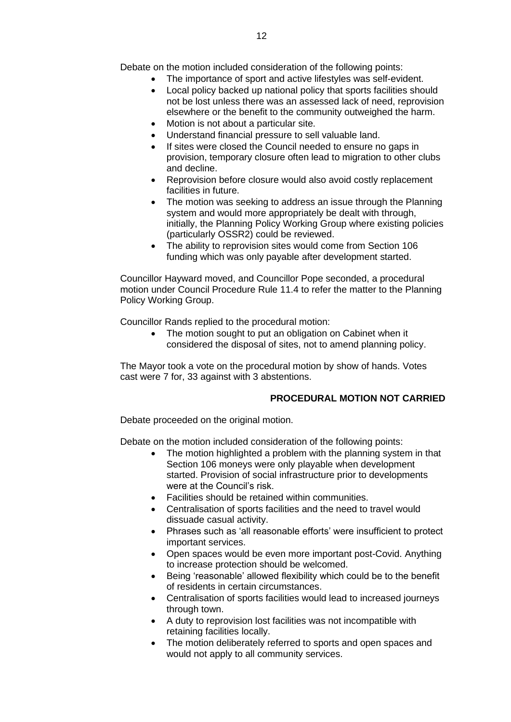Debate on the motion included consideration of the following points:

- The importance of sport and active lifestyles was self-evident.
- Local policy backed up national policy that sports facilities should not be lost unless there was an assessed lack of need, reprovision elsewhere or the benefit to the community outweighed the harm.
- Motion is not about a particular site.
- Understand financial pressure to sell valuable land.
- If sites were closed the Council needed to ensure no gaps in provision, temporary closure often lead to migration to other clubs and decline.
- Reprovision before closure would also avoid costly replacement facilities in future.
- The motion was seeking to address an issue through the Planning system and would more appropriately be dealt with through, initially, the Planning Policy Working Group where existing policies (particularly OSSR2) could be reviewed.
- The ability to reprovision sites would come from Section 106 funding which was only payable after development started.

Councillor Hayward moved, and Councillor Pope seconded, a procedural motion under Council Procedure Rule 11.4 to refer the matter to the Planning Policy Working Group.

Councillor Rands replied to the procedural motion:

The motion sought to put an obligation on Cabinet when it considered the disposal of sites, not to amend planning policy.

The Mayor took a vote on the procedural motion by show of hands. Votes cast were 7 for, 33 against with 3 abstentions.

# **PROCEDURAL MOTION NOT CARRIED**

Debate proceeded on the original motion.

Debate on the motion included consideration of the following points:

- The motion highlighted a problem with the planning system in that Section 106 moneys were only playable when development started. Provision of social infrastructure prior to developments were at the Council's risk.
- Facilities should be retained within communities.
- Centralisation of sports facilities and the need to travel would dissuade casual activity.
- Phrases such as 'all reasonable efforts' were insufficient to protect important services.
- Open spaces would be even more important post-Covid. Anything to increase protection should be welcomed.
- Being 'reasonable' allowed flexibility which could be to the benefit of residents in certain circumstances.
- Centralisation of sports facilities would lead to increased journeys through town.
- A duty to reprovision lost facilities was not incompatible with retaining facilities locally.
- The motion deliberately referred to sports and open spaces and would not apply to all community services.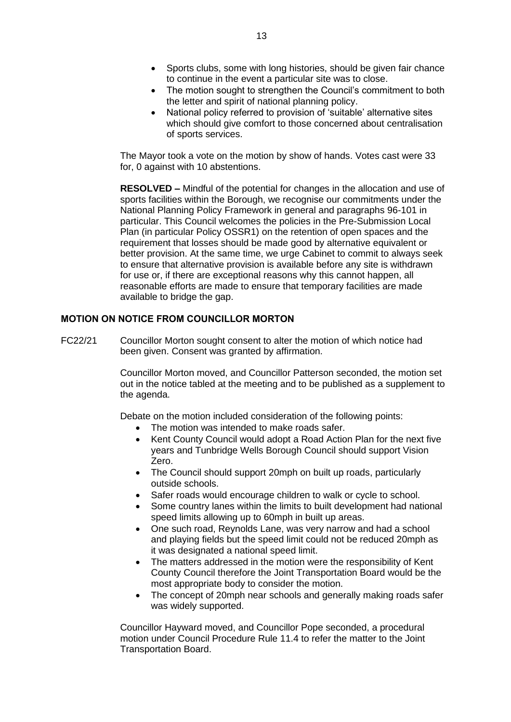- Sports clubs, some with long histories, should be given fair chance to continue in the event a particular site was to close.
- The motion sought to strengthen the Council's commitment to both the letter and spirit of national planning policy.
- National policy referred to provision of 'suitable' alternative sites which should give comfort to those concerned about centralisation of sports services.

The Mayor took a vote on the motion by show of hands. Votes cast were 33 for, 0 against with 10 abstentions.

**RESOLVED –** Mindful of the potential for changes in the allocation and use of sports facilities within the Borough, we recognise our commitments under the National Planning Policy Framework in general and paragraphs 96-101 in particular. This Council welcomes the policies in the Pre-Submission Local Plan (in particular Policy OSSR1) on the retention of open spaces and the requirement that losses should be made good by alternative equivalent or better provision. At the same time, we urge Cabinet to commit to always seek to ensure that alternative provision is available before any site is withdrawn for use or, if there are exceptional reasons why this cannot happen, all reasonable efforts are made to ensure that temporary facilities are made available to bridge the gap.

# **MOTION ON NOTICE FROM COUNCILLOR MORTON**

FC22/21 Councillor Morton sought consent to alter the motion of which notice had been given. Consent was granted by affirmation.

> Councillor Morton moved, and Councillor Patterson seconded, the motion set out in the notice tabled at the meeting and to be published as a supplement to the agenda.

Debate on the motion included consideration of the following points:

- The motion was intended to make roads safer.
- Kent County Council would adopt a Road Action Plan for the next five years and Tunbridge Wells Borough Council should support Vision Zero.
- The Council should support 20mph on built up roads, particularly outside schools.
- Safer roads would encourage children to walk or cycle to school.
- Some country lanes within the limits to built development had national speed limits allowing up to 60mph in built up areas.
- One such road, Reynolds Lane, was very narrow and had a school and playing fields but the speed limit could not be reduced 20mph as it was designated a national speed limit.
- The matters addressed in the motion were the responsibility of Kent County Council therefore the Joint Transportation Board would be the most appropriate body to consider the motion.
- The concept of 20mph near schools and generally making roads safer was widely supported.

Councillor Hayward moved, and Councillor Pope seconded, a procedural motion under Council Procedure Rule 11.4 to refer the matter to the Joint Transportation Board.